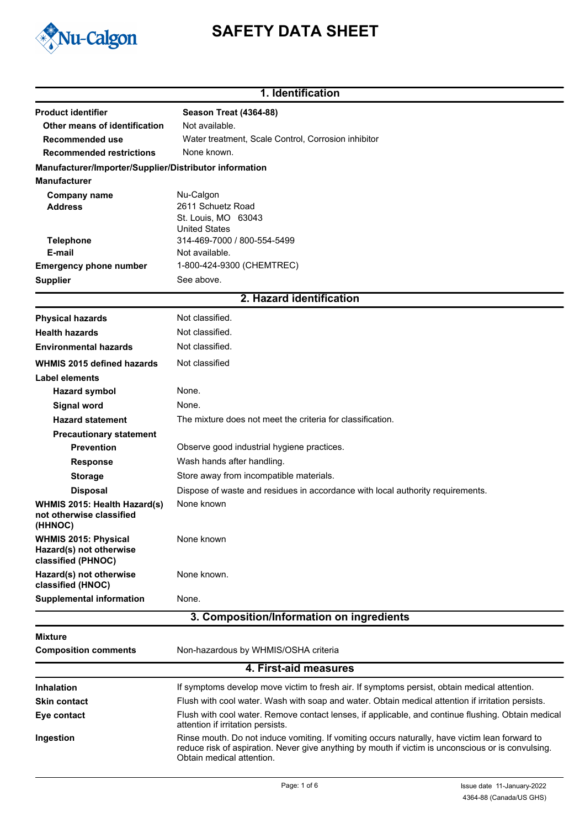

# **SAFETY DATA SHEET**

### **1. Identification**

| <b>Product identifier</b>                                                     | <b>Season Treat (4364-88)</b>                                                                                                                                                                                                     |
|-------------------------------------------------------------------------------|-----------------------------------------------------------------------------------------------------------------------------------------------------------------------------------------------------------------------------------|
| Other means of identification                                                 | Not available.                                                                                                                                                                                                                    |
| Recommended use                                                               | Water treatment, Scale Control, Corrosion inhibitor                                                                                                                                                                               |
| <b>Recommended restrictions</b>                                               | None known.                                                                                                                                                                                                                       |
| Manufacturer/Importer/Supplier/Distributor information<br><b>Manufacturer</b> |                                                                                                                                                                                                                                   |
| <b>Company name</b><br><b>Address</b>                                         | Nu-Calgon<br>2611 Schuetz Road<br>St. Louis, MO 63043                                                                                                                                                                             |
| <b>Telephone</b><br>E-mail                                                    | <b>United States</b><br>314-469-7000 / 800-554-5499<br>Not available.                                                                                                                                                             |
| <b>Emergency phone number</b>                                                 | 1-800-424-9300 (CHEMTREC)                                                                                                                                                                                                         |
| <b>Supplier</b>                                                               | See above.                                                                                                                                                                                                                        |
|                                                                               | 2. Hazard identification                                                                                                                                                                                                          |
| <b>Physical hazards</b>                                                       | Not classified.                                                                                                                                                                                                                   |
| <b>Health hazards</b>                                                         | Not classified.                                                                                                                                                                                                                   |
| <b>Environmental hazards</b>                                                  | Not classified.                                                                                                                                                                                                                   |
| <b>WHMIS 2015 defined hazards</b>                                             | Not classified                                                                                                                                                                                                                    |
| <b>Label elements</b>                                                         |                                                                                                                                                                                                                                   |
| <b>Hazard symbol</b>                                                          | None.                                                                                                                                                                                                                             |
| <b>Signal word</b>                                                            | None.                                                                                                                                                                                                                             |
| <b>Hazard statement</b>                                                       | The mixture does not meet the criteria for classification.                                                                                                                                                                        |
| <b>Precautionary statement</b>                                                |                                                                                                                                                                                                                                   |
| <b>Prevention</b>                                                             | Observe good industrial hygiene practices.                                                                                                                                                                                        |
| <b>Response</b>                                                               | Wash hands after handling.                                                                                                                                                                                                        |
| <b>Storage</b>                                                                | Store away from incompatible materials.                                                                                                                                                                                           |
| <b>Disposal</b>                                                               | Dispose of waste and residues in accordance with local authority requirements.                                                                                                                                                    |
| WHMIS 2015: Health Hazard(s)<br>not otherwise classified<br>(HHNOC)           | None known                                                                                                                                                                                                                        |
| <b>WHMIS 2015: Physical</b><br>Hazard(s) not otherwise<br>classified (PHNOC)  | None known                                                                                                                                                                                                                        |
| Hazard(s) not otherwise<br>classified (HNOC)                                  | None known.                                                                                                                                                                                                                       |
| <b>Supplemental information</b>                                               | None.                                                                                                                                                                                                                             |
|                                                                               | 3. Composition/Information on ingredients                                                                                                                                                                                         |
| <b>Mixture</b>                                                                |                                                                                                                                                                                                                                   |
| <b>Composition comments</b>                                                   | Non-hazardous by WHMIS/OSHA criteria                                                                                                                                                                                              |
|                                                                               | 4. First-aid measures                                                                                                                                                                                                             |
| <b>Inhalation</b>                                                             | If symptoms develop move victim to fresh air. If symptoms persist, obtain medical attention.                                                                                                                                      |
| <b>Skin contact</b>                                                           | Flush with cool water. Wash with soap and water. Obtain medical attention if irritation persists.                                                                                                                                 |
| Eye contact                                                                   | Flush with cool water. Remove contact lenses, if applicable, and continue flushing. Obtain medical<br>attention if irritation persists.                                                                                           |
| Ingestion                                                                     | Rinse mouth. Do not induce vomiting. If vomiting occurs naturally, have victim lean forward to<br>reduce risk of aspiration. Never give anything by mouth if victim is unconscious or is convulsing.<br>Obtain medical attention. |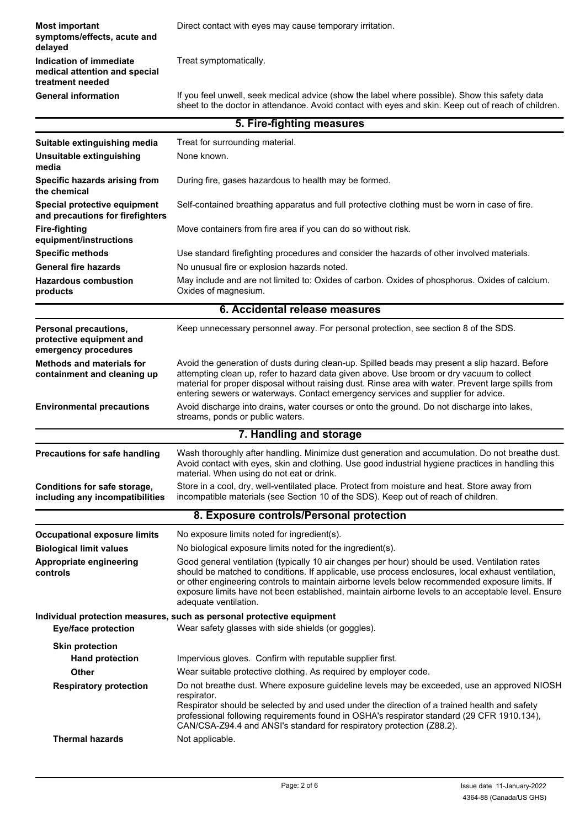**Most important Direct contact with eyes may cause temporary irritation. symptoms/effects, acute and delayed Indication of immediate** Treat symptomatically. **medical attention and special treatment needed** If you feel unwell, seek medical advice (show the label where possible). Show this safety data sheet to the doctor in attendance. Avoid contact with eyes and skin. Keep out of reach of children. **General information**

|                                                                           | 5. Fire-fighting measures                                                                                                                                                                                                                                                                                                                                                                                                              |
|---------------------------------------------------------------------------|----------------------------------------------------------------------------------------------------------------------------------------------------------------------------------------------------------------------------------------------------------------------------------------------------------------------------------------------------------------------------------------------------------------------------------------|
| Suitable extinguishing media                                              | Treat for surrounding material.                                                                                                                                                                                                                                                                                                                                                                                                        |
| Unsuitable extinguishing<br>media                                         | None known.                                                                                                                                                                                                                                                                                                                                                                                                                            |
| Specific hazards arising from<br>the chemical                             | During fire, gases hazardous to health may be formed.                                                                                                                                                                                                                                                                                                                                                                                  |
| Special protective equipment<br>and precautions for firefighters          | Self-contained breathing apparatus and full protective clothing must be worn in case of fire.                                                                                                                                                                                                                                                                                                                                          |
| <b>Fire-fighting</b><br>equipment/instructions                            | Move containers from fire area if you can do so without risk.                                                                                                                                                                                                                                                                                                                                                                          |
| <b>Specific methods</b>                                                   | Use standard firefighting procedures and consider the hazards of other involved materials.                                                                                                                                                                                                                                                                                                                                             |
| <b>General fire hazards</b>                                               | No unusual fire or explosion hazards noted.                                                                                                                                                                                                                                                                                                                                                                                            |
| <b>Hazardous combustion</b><br>products                                   | May include and are not limited to: Oxides of carbon. Oxides of phosphorus. Oxides of calcium.<br>Oxides of magnesium.                                                                                                                                                                                                                                                                                                                 |
|                                                                           | 6. Accidental release measures                                                                                                                                                                                                                                                                                                                                                                                                         |
| Personal precautions,<br>protective equipment and<br>emergency procedures | Keep unnecessary personnel away. For personal protection, see section 8 of the SDS.                                                                                                                                                                                                                                                                                                                                                    |
| <b>Methods and materials for</b><br>containment and cleaning up           | Avoid the generation of dusts during clean-up. Spilled beads may present a slip hazard. Before<br>attempting clean up, refer to hazard data given above. Use broom or dry vacuum to collect<br>material for proper disposal without raising dust. Rinse area with water. Prevent large spills from<br>entering sewers or waterways. Contact emergency services and supplier for advice.                                                |
| <b>Environmental precautions</b>                                          | Avoid discharge into drains, water courses or onto the ground. Do not discharge into lakes,<br>streams, ponds or public waters.                                                                                                                                                                                                                                                                                                        |
|                                                                           | 7. Handling and storage                                                                                                                                                                                                                                                                                                                                                                                                                |
| <b>Precautions for safe handling</b>                                      | Wash thoroughly after handling. Minimize dust generation and accumulation. Do not breathe dust.<br>Avoid contact with eyes, skin and clothing. Use good industrial hygiene practices in handling this<br>material. When using do not eat or drink.                                                                                                                                                                                     |
| Conditions for safe storage,<br>including any incompatibilities           | Store in a cool, dry, well-ventilated place. Protect from moisture and heat. Store away from<br>incompatible materials (see Section 10 of the SDS). Keep out of reach of children.                                                                                                                                                                                                                                                     |
|                                                                           | 8. Exposure controls/Personal protection                                                                                                                                                                                                                                                                                                                                                                                               |
| <b>Occupational exposure limits</b>                                       | No exposure limits noted for ingredient(s).                                                                                                                                                                                                                                                                                                                                                                                            |
| <b>Biological limit values</b>                                            | No biological exposure limits noted for the ingredient(s).                                                                                                                                                                                                                                                                                                                                                                             |
| Appropriate engineering<br>controls                                       | Good general ventilation (typically 10 air changes per hour) should be used. Ventilation rates<br>should be matched to conditions. If applicable, use process enclosures, local exhaust ventilation,<br>or other engineering controls to maintain airborne levels below recommended exposure limits. If<br>exposure limits have not been established, maintain airborne levels to an acceptable level. Ensure<br>adequate ventilation. |
|                                                                           | Individual protection measures, such as personal protective equipment                                                                                                                                                                                                                                                                                                                                                                  |
| <b>Eye/face protection</b>                                                | Wear safety glasses with side shields (or goggles).                                                                                                                                                                                                                                                                                                                                                                                    |
| <b>Skin protection</b>                                                    |                                                                                                                                                                                                                                                                                                                                                                                                                                        |
| <b>Hand protection</b>                                                    | Impervious gloves. Confirm with reputable supplier first.                                                                                                                                                                                                                                                                                                                                                                              |
| Other                                                                     | Wear suitable protective clothing. As required by employer code.                                                                                                                                                                                                                                                                                                                                                                       |
| <b>Respiratory protection</b>                                             | Do not breathe dust. Where exposure guideline levels may be exceeded, use an approved NIOSH<br>respirator.<br>Respirator should be selected by and used under the direction of a trained health and safety<br>professional following requirements found in OSHA's respirator standard (29 CFR 1910.134),<br>CAN/CSA-Z94.4 and ANSI's standard for respiratory protection (Z88.2).                                                      |
| <b>Thermal hazards</b>                                                    | Not applicable.                                                                                                                                                                                                                                                                                                                                                                                                                        |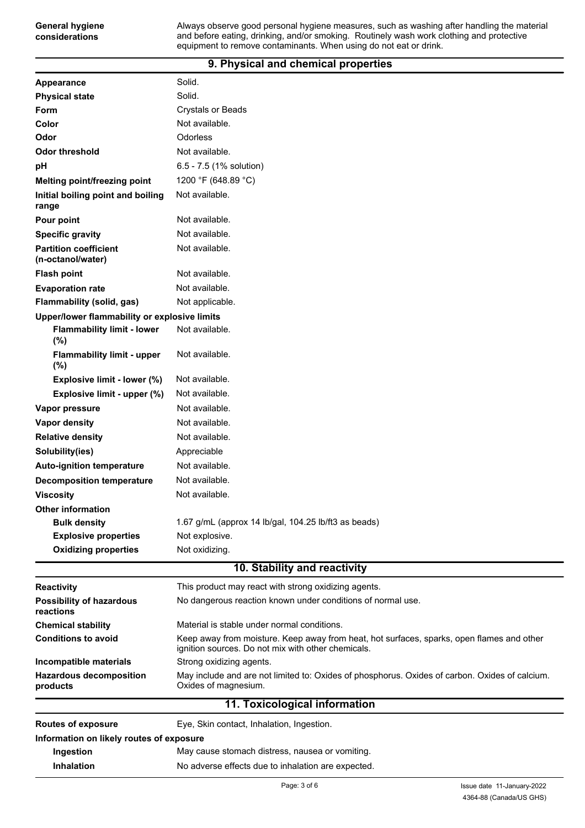#### **9. Physical and chemical properties**

**General hygiene considerations**

| Appearance                                        | Solid.                                                                                                                                          |  |  |
|---------------------------------------------------|-------------------------------------------------------------------------------------------------------------------------------------------------|--|--|
| <b>Physical state</b>                             | Solid.                                                                                                                                          |  |  |
| <b>Form</b>                                       | <b>Crystals or Beads</b>                                                                                                                        |  |  |
| Color                                             | Not available.                                                                                                                                  |  |  |
| Odor                                              | Odorless                                                                                                                                        |  |  |
| <b>Odor threshold</b>                             | Not available.                                                                                                                                  |  |  |
| рH                                                | 6.5 - 7.5 (1% solution)                                                                                                                         |  |  |
| <b>Melting point/freezing point</b>               | 1200 °F (648.89 °C)                                                                                                                             |  |  |
| Initial boiling point and boiling<br>range        | Not available.                                                                                                                                  |  |  |
| Pour point                                        | Not available.                                                                                                                                  |  |  |
| <b>Specific gravity</b>                           | Not available.                                                                                                                                  |  |  |
| <b>Partition coefficient</b><br>(n-octanol/water) | Not available.                                                                                                                                  |  |  |
| <b>Flash point</b>                                | Not available.                                                                                                                                  |  |  |
| <b>Evaporation rate</b>                           | Not available.                                                                                                                                  |  |  |
| Flammability (solid, gas)                         | Not applicable.                                                                                                                                 |  |  |
| Upper/lower flammability or explosive limits      |                                                                                                                                                 |  |  |
| <b>Flammability limit - lower</b><br>(%)          | Not available.                                                                                                                                  |  |  |
| <b>Flammability limit - upper</b><br>(%)          | Not available.                                                                                                                                  |  |  |
| Explosive limit - lower (%)                       | Not available.                                                                                                                                  |  |  |
| Explosive limit - upper (%)                       | Not available.                                                                                                                                  |  |  |
| Vapor pressure                                    | Not available.                                                                                                                                  |  |  |
| Vapor density                                     | Not available.                                                                                                                                  |  |  |
| <b>Relative density</b>                           | Not available.                                                                                                                                  |  |  |
| Solubility(ies)                                   | Appreciable                                                                                                                                     |  |  |
| <b>Auto-ignition temperature</b>                  | Not available.                                                                                                                                  |  |  |
| <b>Decomposition temperature</b>                  | Not available.                                                                                                                                  |  |  |
| <b>Viscosity</b>                                  | Not available.                                                                                                                                  |  |  |
| <b>Other information</b>                          |                                                                                                                                                 |  |  |
| <b>Bulk density</b>                               | 1.67 g/mL (approx 14 lb/gal, 104.25 lb/ft3 as beads)                                                                                            |  |  |
| <b>Explosive properties</b>                       | Not explosive.                                                                                                                                  |  |  |
| <b>Oxidizing properties</b>                       | Not oxidizing.                                                                                                                                  |  |  |
|                                                   | 10. Stability and reactivity                                                                                                                    |  |  |
| <b>Reactivity</b>                                 | This product may react with strong oxidizing agents.                                                                                            |  |  |
| <b>Possibility of hazardous</b><br>reactions      | No dangerous reaction known under conditions of normal use.                                                                                     |  |  |
| <b>Chemical stability</b>                         | Material is stable under normal conditions.                                                                                                     |  |  |
| <b>Conditions to avoid</b>                        | Keep away from moisture. Keep away from heat, hot surfaces, sparks, open flames and other<br>ignition sources. Do not mix with other chemicals. |  |  |
| Incompatible materials                            | Strong oxidizing agents.                                                                                                                        |  |  |
| <b>Hazardous decomposition</b><br>products        | May include and are not limited to: Oxides of phosphorus. Oxides of carbon. Oxides of calcium.<br>Oxides of magnesium.                          |  |  |
|                                                   | 11. Toxicological information                                                                                                                   |  |  |
| <b>Routes of exposure</b>                         | Eye, Skin contact, Inhalation, Ingestion.                                                                                                       |  |  |
| Information on likely routes of exposure          |                                                                                                                                                 |  |  |
| Ingestion                                         | May cause stomach distress, nausea or vomiting.                                                                                                 |  |  |
| Inhalation                                        | No adverse effects due to inhalation are expected.                                                                                              |  |  |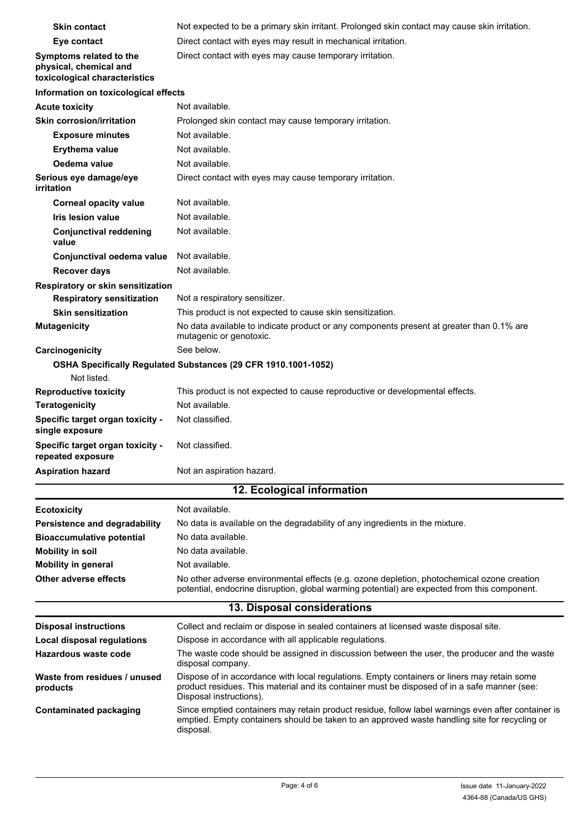| <b>Skin contact</b>                                                                | Not expected to be a primary skin irritant. Prolonged skin contact may cause skin irritation.                                                                                                                          |
|------------------------------------------------------------------------------------|------------------------------------------------------------------------------------------------------------------------------------------------------------------------------------------------------------------------|
| Eye contact                                                                        | Direct contact with eyes may result in mechanical irritation.                                                                                                                                                          |
| Symptoms related to the<br>physical, chemical and<br>toxicological characteristics | Direct contact with eyes may cause temporary irritation.                                                                                                                                                               |
| Information on toxicological effects                                               |                                                                                                                                                                                                                        |
| <b>Acute toxicity</b>                                                              | Not available.                                                                                                                                                                                                         |
| <b>Skin corrosion/irritation</b>                                                   | Prolonged skin contact may cause temporary irritation.                                                                                                                                                                 |
| <b>Exposure minutes</b>                                                            | Not available.                                                                                                                                                                                                         |
| Erythema value                                                                     | Not available.                                                                                                                                                                                                         |
| Oedema value                                                                       | Not available.                                                                                                                                                                                                         |
| Serious eye damage/eye<br>irritation                                               | Direct contact with eyes may cause temporary irritation.                                                                                                                                                               |
| <b>Corneal opacity value</b>                                                       | Not available.                                                                                                                                                                                                         |
| <b>Iris lesion value</b>                                                           | Not available.                                                                                                                                                                                                         |
| <b>Conjunctival reddening</b><br>value                                             | Not available.                                                                                                                                                                                                         |
| Conjunctival oedema value                                                          | Not available.                                                                                                                                                                                                         |
| <b>Recover days</b>                                                                | Not available.                                                                                                                                                                                                         |
| Respiratory or skin sensitization                                                  |                                                                                                                                                                                                                        |
| <b>Respiratory sensitization</b>                                                   | Not a respiratory sensitizer.                                                                                                                                                                                          |
| <b>Skin sensitization</b>                                                          | This product is not expected to cause skin sensitization.                                                                                                                                                              |
| <b>Mutagenicity</b>                                                                | No data available to indicate product or any components present at greater than 0.1% are<br>mutagenic or genotoxic.<br>See below.                                                                                      |
| Carcinogenicity                                                                    |                                                                                                                                                                                                                        |
| Not listed.                                                                        | OSHA Specifically Regulated Substances (29 CFR 1910.1001-1052)                                                                                                                                                         |
| <b>Reproductive toxicity</b>                                                       | This product is not expected to cause reproductive or developmental effects.                                                                                                                                           |
| <b>Teratogenicity</b>                                                              | Not available.                                                                                                                                                                                                         |
| Specific target organ toxicity -<br>single exposure                                | Not classified.                                                                                                                                                                                                        |
| Specific target organ toxicity -<br>repeated exposure                              | Not classified.                                                                                                                                                                                                        |
| <b>Aspiration hazard</b>                                                           | Not an aspiration hazard.                                                                                                                                                                                              |
|                                                                                    | 12. Ecological information                                                                                                                                                                                             |
| <b>Ecotoxicity</b>                                                                 | Not available.                                                                                                                                                                                                         |
| Persistence and degradability                                                      | No data is available on the degradability of any ingredients in the mixture.                                                                                                                                           |
| <b>Bioaccumulative potential</b>                                                   | No data available.                                                                                                                                                                                                     |
| <b>Mobility in soil</b>                                                            | No data available.                                                                                                                                                                                                     |
| <b>Mobility in general</b>                                                         | Not available.                                                                                                                                                                                                         |
| <b>Other adverse effects</b>                                                       | No other adverse environmental effects (e.g. ozone depletion, photochemical ozone creation<br>potential, endocrine disruption, global warming potential) are expected from this component.                             |
|                                                                                    | 13. Disposal considerations                                                                                                                                                                                            |
| <b>Disposal instructions</b>                                                       | Collect and reclaim or dispose in sealed containers at licensed waste disposal site.                                                                                                                                   |
| <b>Local disposal regulations</b>                                                  | Dispose in accordance with all applicable regulations.                                                                                                                                                                 |
| <b>Hazardous waste code</b>                                                        | The waste code should be assigned in discussion between the user, the producer and the waste<br>disposal company.                                                                                                      |
| Waste from residues / unused<br>products                                           | Dispose of in accordance with local regulations. Empty containers or liners may retain some<br>product residues. This material and its container must be disposed of in a safe manner (see:<br>Disposal instructions). |
| <b>Contaminated packaging</b>                                                      | Since emptied containers may retain product residue, follow label warnings even after container is<br>emptied. Empty containers should be taken to an approved waste handling site for recycling or<br>disposal.       |
|                                                                                    |                                                                                                                                                                                                                        |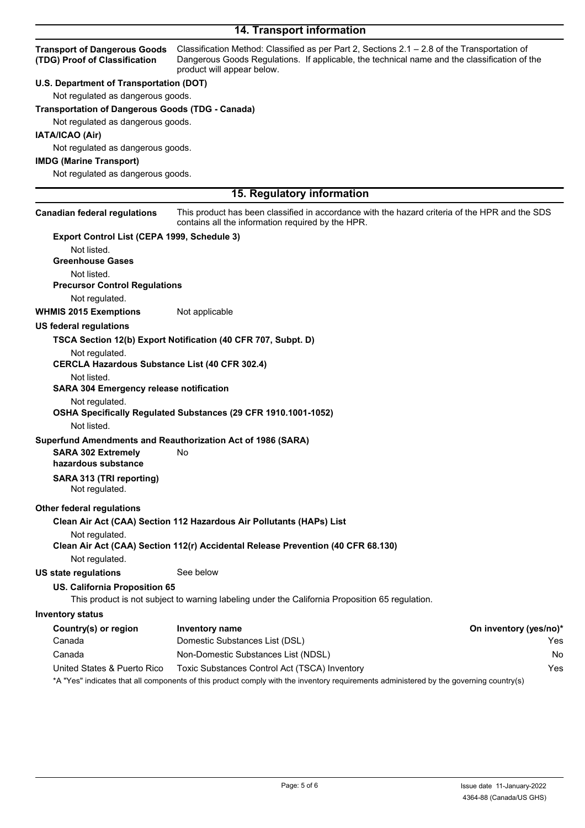## **14. Transport information**

| <b>Transport of Dangerous Goods</b><br>(TDG) Proof of Classification | Classification Method: Classified as per Part 2, Sections 2.1 - 2.8 of the Transportation of<br>Dangerous Goods Regulations. If applicable, the technical name and the classification of the<br>product will appear below. |                        |
|----------------------------------------------------------------------|----------------------------------------------------------------------------------------------------------------------------------------------------------------------------------------------------------------------------|------------------------|
| U.S. Department of Transportation (DOT)                              |                                                                                                                                                                                                                            |                        |
| Not regulated as dangerous goods.                                    |                                                                                                                                                                                                                            |                        |
| <b>Transportation of Dangerous Goods (TDG - Canada)</b>              |                                                                                                                                                                                                                            |                        |
| Not regulated as dangerous goods.                                    |                                                                                                                                                                                                                            |                        |
| IATA/ICAO (Air)                                                      |                                                                                                                                                                                                                            |                        |
| Not regulated as dangerous goods.                                    |                                                                                                                                                                                                                            |                        |
| <b>IMDG (Marine Transport)</b>                                       |                                                                                                                                                                                                                            |                        |
| Not regulated as dangerous goods.                                    |                                                                                                                                                                                                                            |                        |
|                                                                      |                                                                                                                                                                                                                            |                        |
|                                                                      | 15. Regulatory information                                                                                                                                                                                                 |                        |
| <b>Canadian federal regulations</b>                                  | This product has been classified in accordance with the hazard criteria of the HPR and the SDS<br>contains all the information required by the HPR.                                                                        |                        |
| Export Control List (CEPA 1999, Schedule 3)                          |                                                                                                                                                                                                                            |                        |
| Not listed.                                                          |                                                                                                                                                                                                                            |                        |
| <b>Greenhouse Gases</b>                                              |                                                                                                                                                                                                                            |                        |
| Not listed.                                                          |                                                                                                                                                                                                                            |                        |
| <b>Precursor Control Regulations</b>                                 |                                                                                                                                                                                                                            |                        |
| Not regulated.                                                       |                                                                                                                                                                                                                            |                        |
| <b>WHMIS 2015 Exemptions</b>                                         | Not applicable                                                                                                                                                                                                             |                        |
| <b>US federal regulations</b>                                        |                                                                                                                                                                                                                            |                        |
|                                                                      | TSCA Section 12(b) Export Notification (40 CFR 707, Subpt. D)                                                                                                                                                              |                        |
| Not regulated.                                                       |                                                                                                                                                                                                                            |                        |
| <b>CERCLA Hazardous Substance List (40 CFR 302.4)</b>                |                                                                                                                                                                                                                            |                        |
| Not listed.                                                          |                                                                                                                                                                                                                            |                        |
| <b>SARA 304 Emergency release notification</b>                       |                                                                                                                                                                                                                            |                        |
| Not regulated.                                                       |                                                                                                                                                                                                                            |                        |
|                                                                      | OSHA Specifically Regulated Substances (29 CFR 1910.1001-1052)                                                                                                                                                             |                        |
| Not listed.                                                          |                                                                                                                                                                                                                            |                        |
|                                                                      | Superfund Amendments and Reauthorization Act of 1986 (SARA)                                                                                                                                                                |                        |
| <b>SARA 302 Extremely</b>                                            | No                                                                                                                                                                                                                         |                        |
| hazardous substance                                                  |                                                                                                                                                                                                                            |                        |
| SARA 313 (TRI reporting)<br>Not regulated.                           |                                                                                                                                                                                                                            |                        |
| <b>Other federal regulations</b>                                     |                                                                                                                                                                                                                            |                        |
|                                                                      | Clean Air Act (CAA) Section 112 Hazardous Air Pollutants (HAPs) List                                                                                                                                                       |                        |
| Not regulated.                                                       |                                                                                                                                                                                                                            |                        |
|                                                                      | Clean Air Act (CAA) Section 112(r) Accidental Release Prevention (40 CFR 68.130)                                                                                                                                           |                        |
| Not regulated.                                                       |                                                                                                                                                                                                                            |                        |
| <b>US state regulations</b>                                          | See below                                                                                                                                                                                                                  |                        |
| US. California Proposition 65                                        | This product is not subject to warning labeling under the California Proposition 65 regulation.                                                                                                                            |                        |
| <b>Inventory status</b>                                              |                                                                                                                                                                                                                            |                        |
| Country(s) or region                                                 | <b>Inventory name</b>                                                                                                                                                                                                      | On inventory (yes/no)* |
| Canada                                                               | Domestic Substances List (DSL)                                                                                                                                                                                             | Yes                    |
| Canada                                                               | Non-Domestic Substances List (NDSL)                                                                                                                                                                                        | No                     |
| United States & Puerto Rico                                          | Toxic Substances Control Act (TSCA) Inventory                                                                                                                                                                              | Yes                    |
|                                                                      |                                                                                                                                                                                                                            |                        |

\*A "Yes" indicates that all components of this product comply with the inventory requirements administered by the governing country(s)